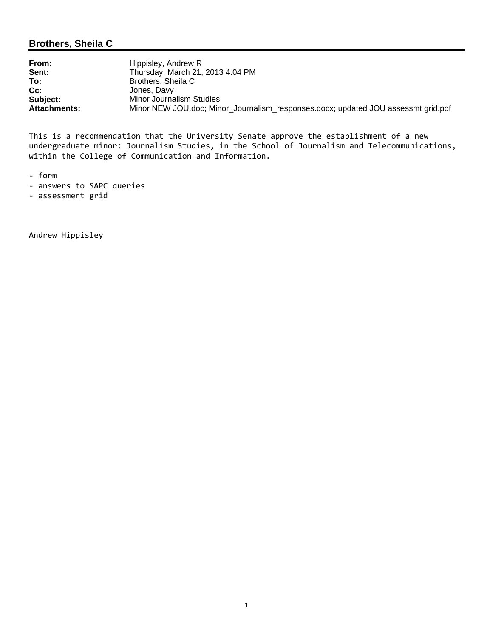# **Brothers, Sheila C**

| From:               | Hippisley, Andrew R                                                               |
|---------------------|-----------------------------------------------------------------------------------|
| Sent:               | Thursday, March 21, 2013 4:04 PM                                                  |
| To:                 | Brothers, Sheila C                                                                |
| $Cc$ :              | Jones, Davy                                                                       |
| Subject:            | Minor Journalism Studies                                                          |
| <b>Attachments:</b> | Minor NEW JOU.doc; Minor_Journalism_responses.docx; updated JOU assessmt grid.pdf |

This is a recommendation that the University Senate approve the establishment of a new undergraduate minor: Journalism Studies, in the School of Journalism and Telecommunications, within the College of Communication and Information.

- ‐ form
- ‐ answers to SAPC queries
- ‐ assessment grid

Andrew Hippisley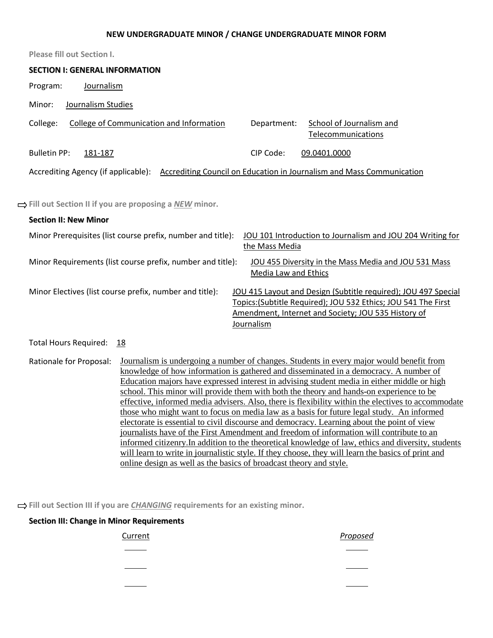#### **NEW UNDERGRADUATE MINOR / CHANGE UNDERGRADUATE MINOR FORM**

| <b>Please fill out Section I.</b>                                                                                                                                                                                                                                                                                                                                                                                                                                                                                                                                                                                                                                                                                                                                                                                                                                                                          |
|------------------------------------------------------------------------------------------------------------------------------------------------------------------------------------------------------------------------------------------------------------------------------------------------------------------------------------------------------------------------------------------------------------------------------------------------------------------------------------------------------------------------------------------------------------------------------------------------------------------------------------------------------------------------------------------------------------------------------------------------------------------------------------------------------------------------------------------------------------------------------------------------------------|
| <b>SECTION I: GENERAL INFORMATION</b>                                                                                                                                                                                                                                                                                                                                                                                                                                                                                                                                                                                                                                                                                                                                                                                                                                                                      |
| Program:<br>Journalism                                                                                                                                                                                                                                                                                                                                                                                                                                                                                                                                                                                                                                                                                                                                                                                                                                                                                     |
| Journalism Studies<br>Minor:                                                                                                                                                                                                                                                                                                                                                                                                                                                                                                                                                                                                                                                                                                                                                                                                                                                                               |
| College:<br>College of Communication and Information<br><b>School of Journalism and</b><br>Department:<br>Telecommunications                                                                                                                                                                                                                                                                                                                                                                                                                                                                                                                                                                                                                                                                                                                                                                               |
| CIP Code:<br><b>Bulletin PP:</b><br>09.0401.0000<br>181-187                                                                                                                                                                                                                                                                                                                                                                                                                                                                                                                                                                                                                                                                                                                                                                                                                                                |
| Accrediting Agency (if applicable): Accrediting Council on Education in Journalism and Mass Communication                                                                                                                                                                                                                                                                                                                                                                                                                                                                                                                                                                                                                                                                                                                                                                                                  |
| $\Rightarrow$ Fill out Section II if you are proposing a NEW minor.                                                                                                                                                                                                                                                                                                                                                                                                                                                                                                                                                                                                                                                                                                                                                                                                                                        |
| <b>Section II: New Minor</b>                                                                                                                                                                                                                                                                                                                                                                                                                                                                                                                                                                                                                                                                                                                                                                                                                                                                               |
| Minor Prerequisites (list course prefix, number and title):<br>JOU 101 Introduction to Journalism and JOU 204 Writing for<br>the Mass Media                                                                                                                                                                                                                                                                                                                                                                                                                                                                                                                                                                                                                                                                                                                                                                |
| Minor Requirements (list course prefix, number and title):<br>JOU 455 Diversity in the Mass Media and JOU 531 Mass<br>Media Law and Ethics                                                                                                                                                                                                                                                                                                                                                                                                                                                                                                                                                                                                                                                                                                                                                                 |
| Minor Electives (list course prefix, number and title):<br>JOU 415 Layout and Design (Subtitle required); JOU 497 Special<br>Topics: (Subtitle Required); JOU 532 Ethics; JOU 541 The First<br>Amendment, Internet and Society; JOU 535 History of<br>Journalism                                                                                                                                                                                                                                                                                                                                                                                                                                                                                                                                                                                                                                           |
| <b>Total Hours Required:</b><br>18                                                                                                                                                                                                                                                                                                                                                                                                                                                                                                                                                                                                                                                                                                                                                                                                                                                                         |
| Journalism is undergoing a number of changes. Students in every major would benefit from<br>Rationale for Proposal:<br>knowledge of how information is gathered and disseminated in a democracy. A number of<br>Education majors have expressed interest in advising student media in either middle or high<br>school. This minor will provide them with both the theory and hands-on experience to be<br>effective, informed media advisers. Also, there is flexibility within the electives to accommodate<br>those who might want to focus on media law as a basis for future legal study. An informed<br>electorate is essential to civil discourse and democracy. Learning about the point of view<br>journalists have of the First Amendment and freedom of information will contribute to an<br>informed citizenry. In addition to the theoretical knowledge of law, ethics and diversity, students |

will learn to write in journalistic style. If they choose, they will learn the basics of print and online design as well as the basics of broadcast theory and style.

**Fill out Section III if you are** *CHANGING* **requirements for an existing minor.**

| <b>Section III: Change in Minor Requirements</b> |          |
|--------------------------------------------------|----------|
| Current                                          | Proposed |
|                                                  |          |
|                                                  |          |
|                                                  |          |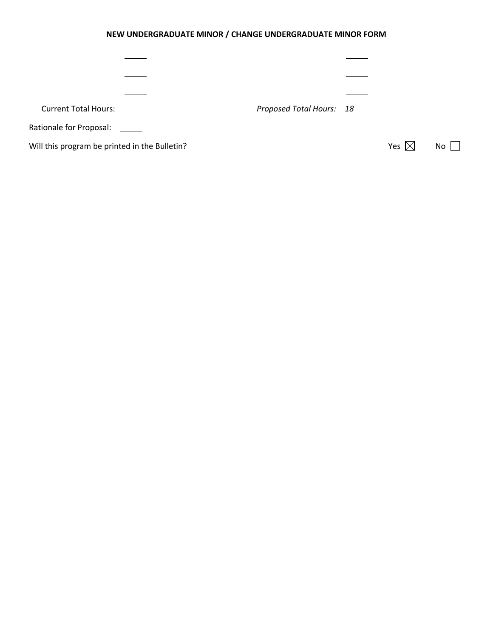# **NEW UNDERGRADUATE MINOR / CHANGE UNDERGRADUATE MINOR FORM**

| <b>Current Total Hours:</b>                   | Proposed Total Hours: 18 |                 |      |
|-----------------------------------------------|--------------------------|-----------------|------|
| Rationale for Proposal: ______                |                          |                 |      |
| Will this program be printed in the Bulletin? |                          | Yes $\boxtimes$ | $No$ |
|                                               |                          |                 |      |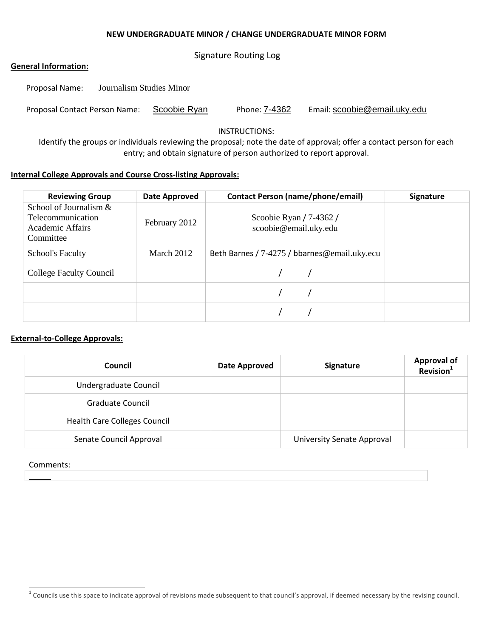#### **NEW UNDERGRADUATE MINOR / CHANGE UNDERGRADUATE MINOR FORM**

Signature Routing Log

### **General Information:**

| Proposal Name:                | Journalism Studies Minor |              |               |                              |
|-------------------------------|--------------------------|--------------|---------------|------------------------------|
| Proposal Contact Person Name: |                          | Scoobie Ryan | Phone: 7-4362 | Email: scoobie@email.uky.edu |

INSTRUCTIONS:

Identify the groups or individuals reviewing the proposal; note the date of approval; offer a contact person for each entry; and obtain signature of person authorized to report approval.

### **Internal College Approvals and Course Cross-listing Approvals:**

| <b>Reviewing Group</b>                                                                | Date Approved | <b>Contact Person (name/phone/email)</b>               | <b>Signature</b> |
|---------------------------------------------------------------------------------------|---------------|--------------------------------------------------------|------------------|
| School of Journalism $&$<br><b>Telecommunication</b><br>Academic Affairs<br>Committee | February 2012 | Scoobie Ryan $/ 7 - 4362 / 1$<br>scoobie@email.uky.edu |                  |
| <b>School's Faculty</b>                                                               | March 2012    | Beth Barnes / 7-4275 / bbarnes@email.uky.ecu           |                  |
| <b>College Faculty Council</b>                                                        |               |                                                        |                  |
|                                                                                       |               |                                                        |                  |
|                                                                                       |               |                                                        |                  |

#### **External-to-College Approvals:**

| Council                             | <b>Date Approved</b> | Signature                  | <b>Approval of</b><br>Revision <sup>1</sup> |
|-------------------------------------|----------------------|----------------------------|---------------------------------------------|
| Undergraduate Council               |                      |                            |                                             |
| Graduate Council                    |                      |                            |                                             |
| <b>Health Care Colleges Council</b> |                      |                            |                                             |
| Senate Council Approval             |                      | University Senate Approval |                                             |

#### Comments:

 $1$  Councils use this space to indicate approval of revisions made subsequent to that council's approval, if deemed necessary by the revising council.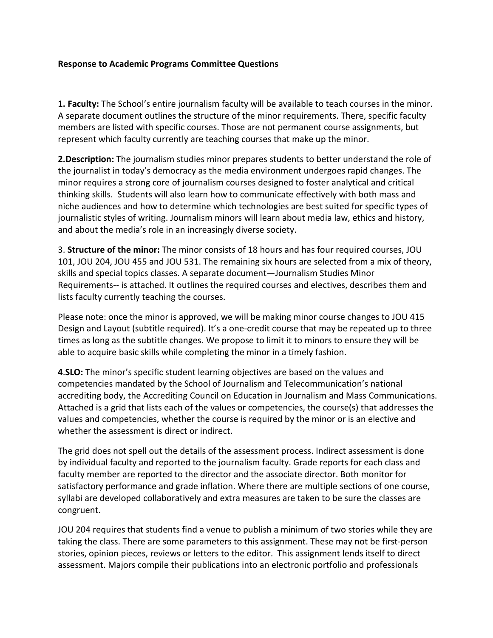### **Response to Academic Programs Committee Questions**

**1. Faculty:** The School's entire journalism faculty will be available to teach courses in the minor. A separate document outlines the structure of the minor requirements. There, specific faculty members are listed with specific courses. Those are not permanent course assignments, but represent which faculty currently are teaching courses that make up the minor.

**2.Description:** The journalism studies minor prepares students to better understand the role of the journalist in today's democracy as the media environment undergoes rapid changes. The minor requires a strong core of journalism courses designed to foster analytical and critical thinking skills. Students will also learn how to communicate effectively with both mass and niche audiences and how to determine which technologies are best suited for specific types of journalistic styles of writing. Journalism minors will learn about media law, ethics and history, and about the media's role in an increasingly diverse society.

3. **Structure of the minor:** The minor consists of 18 hours and has four required courses, JOU 101, JOU 204, JOU 455 and JOU 531. The remaining six hours are selected from a mix of theory, skills and special topics classes. A separate document—Journalism Studies Minor Requirements-- is attached. It outlines the required courses and electives, describes them and lists faculty currently teaching the courses.

Please note: once the minor is approved, we will be making minor course changes to JOU 415 Design and Layout (subtitle required). It's a one-credit course that may be repeated up to three times as long as the subtitle changes. We propose to limit it to minors to ensure they will be able to acquire basic skills while completing the minor in a timely fashion.

**4**.**SLO:** The minor's specific student learning objectives are based on the values and competencies mandated by the School of Journalism and Telecommunication's national accrediting body, the Accrediting Council on Education in Journalism and Mass Communications. Attached is a grid that lists each of the values or competencies, the course(s) that addresses the values and competencies, whether the course is required by the minor or is an elective and whether the assessment is direct or indirect.

The grid does not spell out the details of the assessment process. Indirect assessment is done by individual faculty and reported to the journalism faculty. Grade reports for each class and faculty member are reported to the director and the associate director. Both monitor for satisfactory performance and grade inflation. Where there are multiple sections of one course, syllabi are developed collaboratively and extra measures are taken to be sure the classes are congruent.

JOU 204 requires that students find a venue to publish a minimum of two stories while they are taking the class. There are some parameters to this assignment. These may not be first-person stories, opinion pieces, reviews or letters to the editor. This assignment lends itself to direct assessment. Majors compile their publications into an electronic portfolio and professionals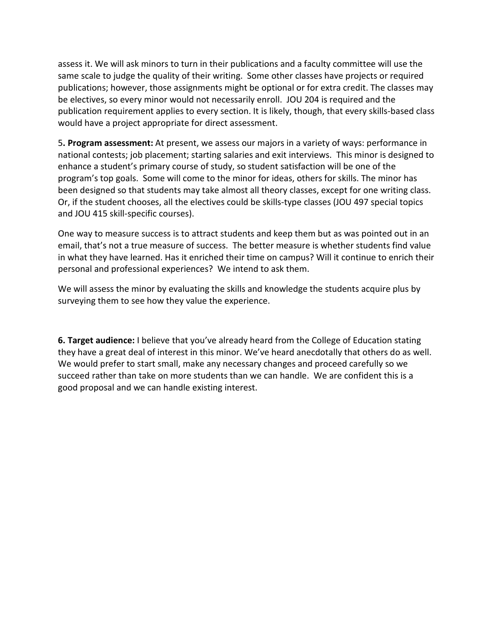assess it. We will ask minors to turn in their publications and a faculty committee will use the same scale to judge the quality of their writing. Some other classes have projects or required publications; however, those assignments might be optional or for extra credit. The classes may be electives, so every minor would not necessarily enroll. JOU 204 is required and the publication requirement applies to every section. It is likely, though, that every skills-based class would have a project appropriate for direct assessment.

5**. Program assessment:** At present, we assess our majors in a variety of ways: performance in national contests; job placement; starting salaries and exit interviews. This minor is designed to enhance a student's primary course of study, so student satisfaction will be one of the program's top goals. Some will come to the minor for ideas, others for skills. The minor has been designed so that students may take almost all theory classes, except for one writing class. Or, if the student chooses, all the electives could be skills-type classes (JOU 497 special topics and JOU 415 skill-specific courses).

One way to measure success is to attract students and keep them but as was pointed out in an email, that's not a true measure of success. The better measure is whether students find value in what they have learned. Has it enriched their time on campus? Will it continue to enrich their personal and professional experiences? We intend to ask them.

We will assess the minor by evaluating the skills and knowledge the students acquire plus by surveying them to see how they value the experience.

**6. Target audience:** I believe that you've already heard from the College of Education stating they have a great deal of interest in this minor. We've heard anecdotally that others do as well. We would prefer to start small, make any necessary changes and proceed carefully so we succeed rather than take on more students than we can handle. We are confident this is a good proposal and we can handle existing interest.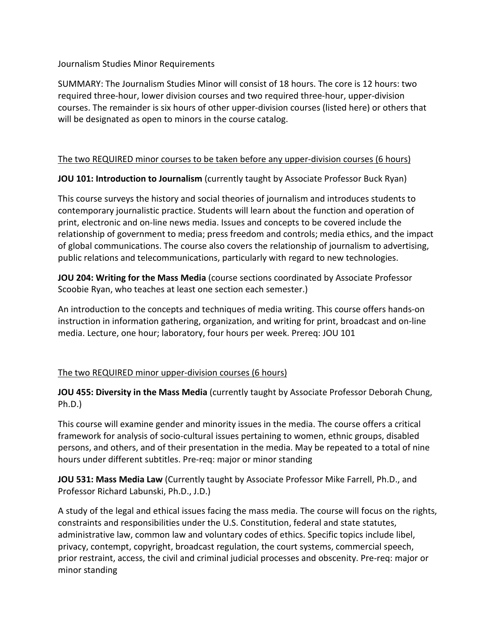## Journalism Studies Minor Requirements

SUMMARY: The Journalism Studies Minor will consist of 18 hours. The core is 12 hours: two required three-hour, lower division courses and two required three-hour, upper-division courses. The remainder is six hours of other upper-division courses (listed here) or others that will be designated as open to minors in the course catalog.

## The two REQUIRED minor courses to be taken before any upper-division courses (6 hours)

**JOU 101: Introduction to Journalism** (currently taught by Associate Professor Buck Ryan)

This course surveys the history and social theories of journalism and introduces students to contemporary journalistic practice. Students will learn about the function and operation of print, electronic and on-line news media. Issues and concepts to be covered include the relationship of government to media; press freedom and controls; media ethics, and the impact of global communications. The course also covers the relationship of journalism to advertising, public relations and telecommunications, particularly with regard to new technologies.

**JOU 204: Writing for the Mass Media** (course sections coordinated by Associate Professor Scoobie Ryan, who teaches at least one section each semester.)

An introduction to the concepts and techniques of media writing. This course offers hands-on instruction in information gathering, organization, and writing for print, broadcast and on-line media. Lecture, one hour; laboratory, four hours per week. Prereq: JOU 101

## The two REQUIRED minor upper-division courses (6 hours)

**JOU 455: Diversity in the Mass Media** (currently taught by Associate Professor Deborah Chung, Ph.D.)

This course will examine gender and minority issues in the media. The course offers a critical framework for analysis of socio-cultural issues pertaining to women, ethnic groups, disabled persons, and others, and of their presentation in the media. May be repeated to a total of nine hours under different subtitles. Pre-req: major or minor standing

**JOU 531: Mass Media Law** (Currently taught by Associate Professor Mike Farrell, Ph.D., and Professor Richard Labunski, Ph.D., J.D.)

A study of the legal and ethical issues facing the mass media. The course will focus on the rights, constraints and responsibilities under the U.S. Constitution, federal and state statutes, administrative law, common law and voluntary codes of ethics. Specific topics include libel, privacy, contempt, copyright, broadcast regulation, the court systems, commercial speech, prior restraint, access, the civil and criminal judicial processes and obscenity. Pre-req: major or minor standing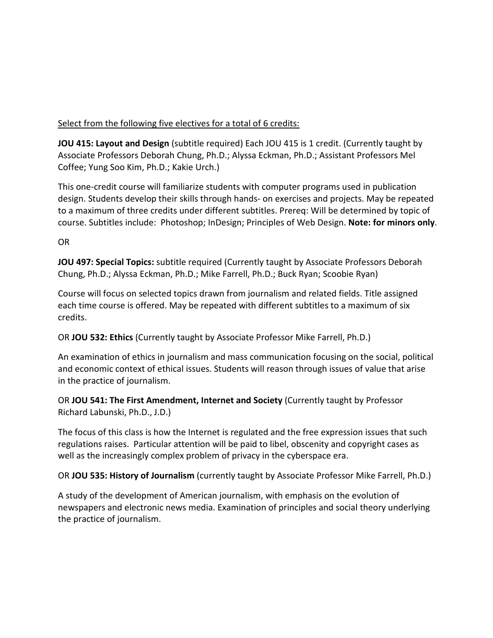# Select from the following five electives for a total of 6 credits:

**JOU 415: Layout and Design** (subtitle required) Each JOU 415 is 1 credit. (Currently taught by Associate Professors Deborah Chung, Ph.D.; Alyssa Eckman, Ph.D.; Assistant Professors Mel Coffee; Yung Soo Kim, Ph.D.; Kakie Urch.)

This one-credit course will familiarize students with computer programs used in publication design. Students develop their skills through hands- on exercises and projects. May be repeated to a maximum of three credits under different subtitles. Prereq: Will be determined by topic of course. Subtitles include: Photoshop; InDesign; Principles of Web Design. **Note: for minors only**.

OR

**JOU 497: Special Topics:** subtitle required (Currently taught by Associate Professors Deborah Chung, Ph.D.; Alyssa Eckman, Ph.D.; Mike Farrell, Ph.D.; Buck Ryan; Scoobie Ryan)

Course will focus on selected topics drawn from journalism and related fields. Title assigned each time course is offered. May be repeated with different subtitles to a maximum of six credits.

OR **JOU 532: Ethics** (Currently taught by Associate Professor Mike Farrell, Ph.D.)

An examination of ethics in journalism and mass communication focusing on the social, political and economic context of ethical issues. Students will reason through issues of value that arise in the practice of journalism.

OR **JOU 541: The First Amendment, Internet and Society** (Currently taught by Professor Richard Labunski, Ph.D., J.D.)

The focus of this class is how the Internet is regulated and the free expression issues that such regulations raises. Particular attention will be paid to libel, obscenity and copyright cases as well as the increasingly complex problem of privacy in the cyberspace era.

OR **JOU 535: History of Journalism** (currently taught by Associate Professor Mike Farrell, Ph.D.)

A study of the development of American journalism, with emphasis on the evolution of newspapers and electronic news media. Examination of principles and social theory underlying the practice of journalism.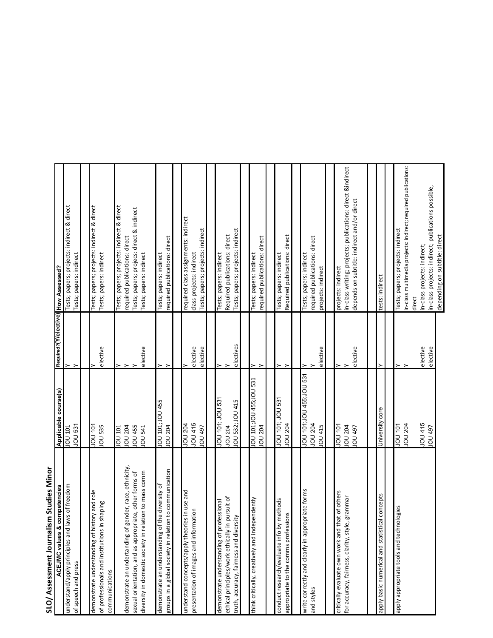| SLO/Assessment Journalism Studies Minor                                                                          |                                                             |                        |                                                                                                       |
|------------------------------------------------------------------------------------------------------------------|-------------------------------------------------------------|------------------------|-------------------------------------------------------------------------------------------------------|
| competencies<br><b>ACEJMC values &amp;</b>                                                                       | Applicable course(s)                                        | Required? (Y/elective) | <b>How Assessed?</b>                                                                                  |
| laws of freedom<br>understand/apply principles and<br>of speech and press                                        | JOU <sub>531</sub><br>JOU 101                               |                        | Tests; papers; projects: indirect & direct<br>Tests; papers: indirect                                 |
|                                                                                                                  |                                                             |                        |                                                                                                       |
| demonstrate understanding of history and role<br>of professionals and institutions in shaping<br>communications  | LOL NOI<br><b>JOU 535</b>                                   | elective               | Tests; papers; projects: indirect & direct<br>Tests; papers: indirect                                 |
|                                                                                                                  |                                                             |                        |                                                                                                       |
| gender, race, ethnicity,<br>demonstrate an undertanding of                                                       | JOU 204<br><b>JOU 455</b><br><b>100 101</b>                 |                        | Tests; papers; projects: indirect & direct<br>required publications: direct                           |
| diversity in domestic society in relation to mass comm<br>sexual orientation, and as appropriate, other forms of | <b>10U 541</b>                                              | elective               | Tests; papers; projecs: direct & indirect<br>Tests; papers: indirect                                  |
| on to communication<br>demonstrate an understanding of the diversity of<br>groups in a global society in relati  | JOU 101; JOU 455<br><b>10U 204</b>                          |                        | required publications: direct<br>Tests; papers: indirect                                              |
|                                                                                                                  |                                                             |                        |                                                                                                       |
| understand concepts/apply theories in use and<br>presentation of images and information                          | JOU 415<br><b>POZ NOL</b><br><b>L6t NOL</b>                 | elective<br>elective   | required class assignments: indirect<br>Tests; papers; projects: indirect<br>class projects: indirect |
|                                                                                                                  |                                                             |                        |                                                                                                       |
| ofessional<br>demonstrate understanding of pr                                                                    | <b>LES NOT : 101 DON</b>                                    |                        | Tests; papers: indirect                                                                               |
| ethical principles/work ethically in pursuit of<br>truth, accuracy, fairness and diversity                       | IOU 532; JOU 415<br><b>JOU 204</b>                          | electives              | Tests; papers; projects: indirect<br>Required publications: direct                                    |
|                                                                                                                  |                                                             |                        |                                                                                                       |
| ependently<br>think critically, creatively and inde                                                              | ISS NOT'SSP NOT'LDT NO<br><b>10U 204</b>                    |                        | required publications: direct<br>Tests; papers: indirect                                              |
|                                                                                                                  |                                                             |                        |                                                                                                       |
| conduct research/evaluate info by methods<br>sions<br>appropriate to the comms profess                           | JOU 101; JOU 531<br><b>10U 204</b>                          |                        | Required publications: direct<br>Tests; papers: indirect                                              |
|                                                                                                                  |                                                             |                        |                                                                                                       |
| write correctly and clearly in appropriate forms<br>and styles                                                   | JOU 101;JOU 455;JOU 531<br><b>JOU 204</b><br><b>IOU 415</b> | elective               | required publications: direct<br>Tests; papers: indirect<br>projects: indirect                        |
|                                                                                                                  |                                                             |                        |                                                                                                       |
| hat of others<br>for accuracy, fairness, clarity, style, grammar<br>critically evaluate own work and 1           | 101<br>101<br><b>JOU 204</b>                                |                        | in-class writing; projects; publications: direct &indirect<br>projects: indirect                      |
|                                                                                                                  | <b>CD 197</b>                                               | elective               | depends on subtitle: indirect and/or direct                                                           |
|                                                                                                                  |                                                             |                        |                                                                                                       |
| cal concepts<br>apply basic numerical and statisti                                                               | University core                                             |                        | tests: indirect                                                                                       |
|                                                                                                                  |                                                             |                        |                                                                                                       |
| nologies<br>apply appropriate tools and techn                                                                    | LOL NOL<br><b>JOU 204</b>                                   |                        | n-class multimedia projects: indirect; required publications:<br>Tests; papers; projects: indirect    |
|                                                                                                                  |                                                             |                        | direct                                                                                                |
|                                                                                                                  | JOU 415<br><b>10U 497</b>                                   | elective               | in-class projects: indirect;                                                                          |
|                                                                                                                  |                                                             | elective               | in-class projects: indirect; publications possible,<br>depending on subtitle: direct                  |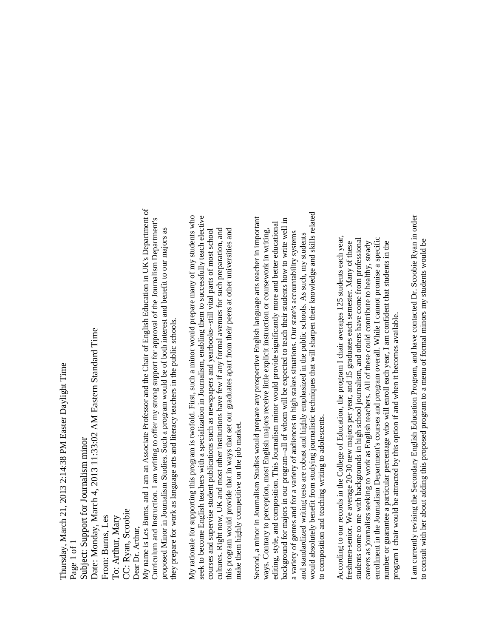My name is Les Burns, and I am an Associate Professor and the Chair of English Education in UK's Department of My name is Les Burns, and I am an Associate Professor and the Chair of English Education in UK's Department of Date: Monday, March 4, 2013 11:33:02 AM Eastern Standard Time Date: Monday, March 4, 2013 11:33:02 AM Eastern Standard Time Thursday, March 21, 2013 2:14:38 PM Easter Daylight Time Thursday, March 21, 2013 2:14:38 PM Easter Daylight Time Subject: Support for Journalism minor Subject: Support for Journalism minor CC: Ryan, Scoobie CC: Ryan, Scoobie From: Burns, Les From: Burns, Les To: Arthur, Mary To: Arthur, Mary Dear Dr. Arthur, Dear Dr. Arthur, Page 1 of 1

Curriculum and Instruction. I am writing to offer my strong support for approval of the Journalism Department's Curriculum and Instruction. I am writing to offer my strong support for approval of the Journalism Department's proposed Minor in Journalism Studies. Such a program would be of both interest and benefit to our majors as proposed Minor in Journalism Studies. Such a program would be of both interest and benefit to our majors as they prepare for work as language arts and literacy teachers in the public schools. they prepare for work as language arts and literacy teachers in the public schools.

My rationale for supporting this program is twofold. First, such a minor would prepare many of my students who seek to become English teachers with a specialization in Journalism, enabling them to successfully teach elective My rationale for supporting this program is twofold. First, such a minor would prepare many of my students who seek to become English teachers with a specialization in Journalism, enabling them to successfully teach elective cultures. Right now, UK and most other institutions have few if any formal avenues for such preparation, and this program would provide that in ways that set our graduates apart from their peers at other universities and courses and supervise student publications such as newspapers and yearbooks--still vital parts of most school cultures. Right now, UK and most other institutions have few if any formal avenues for such preparation, and this program would provide that in ways that set our graduates apart from their peers at other universities and courses and supervise student publications such as newspapers and yearbooks--still vital parts of most school make them highly competitive on the job market. make them highly competitive on the job market.

would absolutely benefit from studying journalistic techniques that will sharpen their knowledge and skills related would absolutely benefit from studying journalistic techniques that will sharpen their knowledge and skills related Second, a minor in Journalism Studies would prepare any prospective English language arts teacher in important Second, a minor in Journalism Studies would prepare any prospective English language arts teacher in important background for majors in our program--all of whom will be expected to teach their students how to write well in background for majors in our program--all of whom will be expected to teach their students how to write well in editing, style, and composition. This Journalism minor would provide significantly more and better educational editing, style, and composition. This Journalism minor would provide significantly more and better educational ways. Contrary to perception, most English majors receive little explicit instruction or coursework in writing, ways. Contrary to perception, most English majors receive little explicit instruction or coursework in writing, a variety of genres and for a variety of audiences in high stakes situations. Our state's accountability systems a variety of genres and for a variety of audiences in high stakes situations. Our state's accountability systems and standardized writing tests are robust and highly emphasized in the public schools. As such, my students and standardized writing tests are robust and highly emphasized in the public schools. As such, my students to composition and teaching writing to adolescents. to composition and teaching writing to adolescents.

According to our records in the College of Education, the program I chair averages 125 students each year, According to our records in the College of Education, the program I chair averages 125 students each year, students come to me with backgrounds in high school journalism, and others have come from professional enrollment in the Journalism Department's courses and program overall. While I cannot promise a specific enrollment in the Journalism Department's courses and program overall. While I cannot promise a specific students come to me with backgrounds in high school journalism, and others have come from professional freshmen-senior. We average 20-30 new majors per year, and 15 graduates each semester. Many of these careers as journalists seeking to work as English teachers. All of these could contribute to healthy, steady number or guarantee a particular percentage who will enroll each year, I am confident that students in the careers as journalists seeking to work as English teachers. All of these could contribute to healthy, steady number or guarantee a particular percentage who will enroll each year, I am confident that students in the freshmen-senior. We average 20-30 new majors per year, and 15 graduates each semester. Many of these program I chair would be attracted by this option if and when it becomes available. program I chair would be attracted by this option if and when it becomes available.

I am currently revising the Secondary English Education Program, and have contacted Dr. Scoobie Ryan in order I am currently revising the Secondary English Education Program, and have contacted Dr. Scoobie Ryan in order to consult with her about adding this proposed program to a menu of formal minors my students would be to consult with her about adding this proposed program to a menu of formal minors my students would be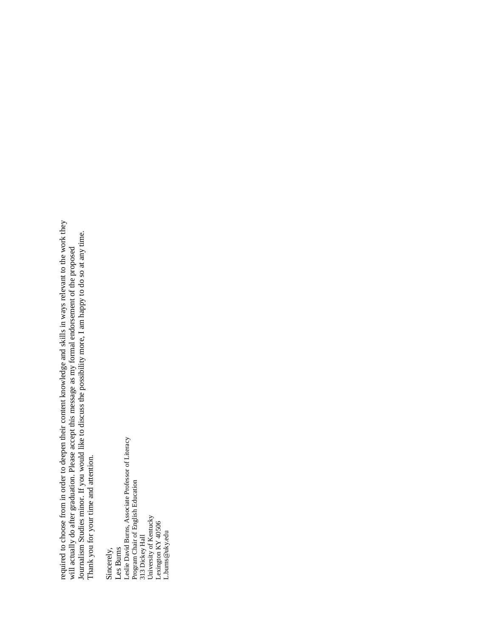required to choose from in order to deepen their content knowledge and skills in ways relevant to the work they required to choose from in order to deepen their content knowledge and skills in ways relevant to the work they required to choose home in order to deepen men content knownedge and skins in ways relevant to the work in will actually do after graduation. Please accept this message as my formal endorsement of the proposed Journalism S Journalism Studies minor. If you would like to discuss the possibility more, I am happy to do so at any time. will actually do after graduation. Please accept this message as my formal endorsement of the proposed Thank you for your time and attention.

Sincerely, Les Burns<br>Leslie David Bums, Associate Professor of Literacy<br>Program Chair of English Education<br>313 Dickey Hall<br>University of Kentucky<br>Lexington KY 40506<br>L.burns@uky.edu Leslie David Burns, Associate Professor of Literacy Program Chair of English Education 313 Dickey Hall University of Kentucky Lexington KY 40506 L.burns@uky.edu